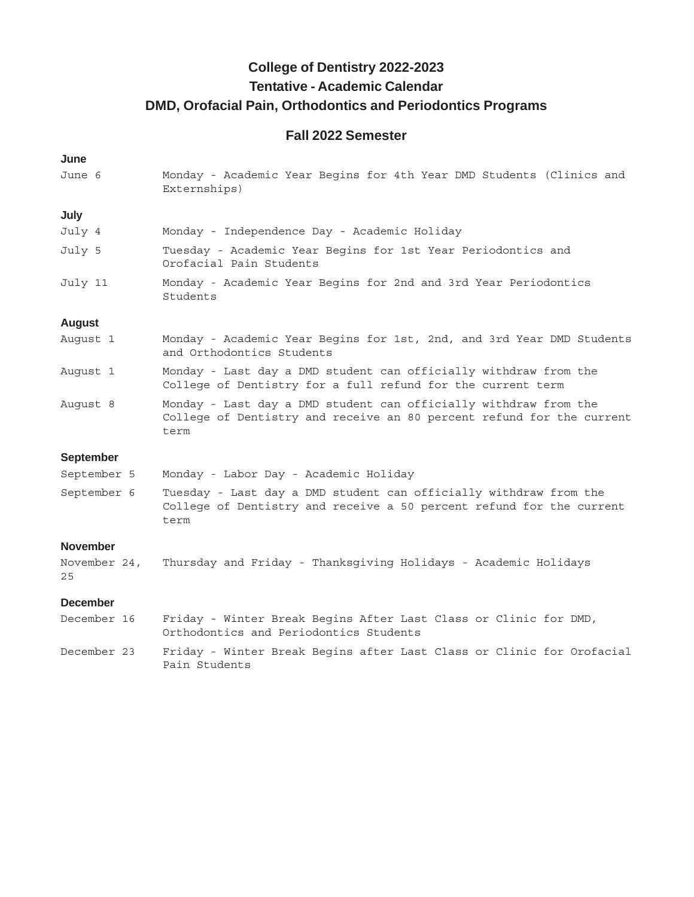## **College of Dentistry 2022-2023 Tentative - Academic Calendar DMD, Orofacial Pain, Orthodontics and Periodontics Programs**

### **Fall 2022 Semester**

#### **June**

June 6 Monday - Academic Year Begins for 4th Year DMD Students (Clinics and Externships)

#### **July**

| July 4  | Monday - Independence Day - Academic Holiday                                            |
|---------|-----------------------------------------------------------------------------------------|
| July 5  | Tuesday - Academic Year Begins for 1st Year Periodontics and<br>Orofacial Pain Students |
| July 11 | Monday - Academic Year Begins for 2nd and 3rd Year Periodontics<br>Students             |

#### **August**

| August 1 | Monday - Academic Year Begins for 1st, 2nd, and 3rd Year DMD Students |  |  |  |
|----------|-----------------------------------------------------------------------|--|--|--|
|          | and Orthodontics Students                                             |  |  |  |

- August 1 Monday Last day a DMD student can officially withdraw from the College of Dentistry for a full refund for the current term
- August 8 Monday Last day a DMD student can officially withdraw from the College of Dentistry and receive an 80 percent refund for the current term

### **September**

| September 5 |  |  |  |  |  |  | Monday - Labor Day - Academic Holiday |  |
|-------------|--|--|--|--|--|--|---------------------------------------|--|
|-------------|--|--|--|--|--|--|---------------------------------------|--|

September 6 Tuesday - Last day a DMD student can officially withdraw from the College of Dentistry and receive a 50 percent refund for the current term

#### **November**

November 24, Thursday and Friday - Thanksgiving Holidays - Academic Holidays 25

#### **December**

| December 16 | Friday - Winter Break Begins After Last Class or Clinic for DMD, |  |  |  |  |                                                                       |
|-------------|------------------------------------------------------------------|--|--|--|--|-----------------------------------------------------------------------|
|             | Orthodontics and Periodontics Students                           |  |  |  |  |                                                                       |
| December 23 | Pain Students                                                    |  |  |  |  | Friday - Winter Break Begins after Last Class or Clinic for Orofacial |